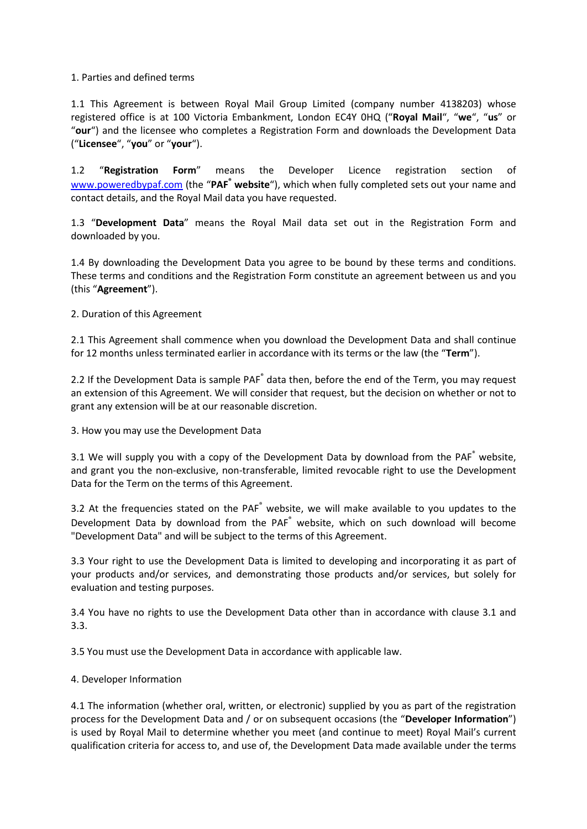## 1. Parties and defined terms

1.1 This Agreement is between Royal Mail Group Limited (company number 4138203) whose registered office is at 100 Victoria Embankment, London EC4Y 0HQ ("**Royal Mail**", "**we**", "**us**" or "**our**") and the licensee who completes a Registration Form and downloads the Development Data ("**Licensee**", "**you**" or "**your**").

1.2 "**Registration Form**" means the Developer Licence registration section of [www.poweredbypaf.com](http://www.poweredbypaf.com/) (the "**PAF® website**"), which when fully completed sets out your name and contact details, and the Royal Mail data you have requested.

1.3 "**Development Data**" means the Royal Mail data set out in the Registration Form and downloaded by you.

1.4 By downloading the Development Data you agree to be bound by these terms and conditions. These terms and conditions and the Registration Form constitute an agreement between us and you (this "**Agreement**").

2. Duration of this Agreement

2.1 This Agreement shall commence when you download the Development Data and shall continue for 12 months unless terminated earlier in accordance with its terms or the law (the "**Term**").

2.2 If the Development Data is sample PAF<sup>®</sup> data then, before the end of the Term, you may request an extension of this Agreement. We will consider that request, but the decision on whether or not to grant any extension will be at our reasonable discretion.

3. How you may use the Development Data

3.1 We will supply you with a copy of the Development Data by download from the PAF ® website, and grant you the non-exclusive, non-transferable, limited revocable right to use the Development Data for the Term on the terms of this Agreement.

3.2 At the frequencies stated on the PAF<sup>®</sup> website, we will make available to you updates to the Development Data by download from the PAF<sup>®</sup> website, which on such download will become "Development Data" and will be subject to the terms of this Agreement.

3.3 Your right to use the Development Data is limited to developing and incorporating it as part of your products and/or services, and demonstrating those products and/or services, but solely for evaluation and testing purposes.

3.4 You have no rights to use the Development Data other than in accordance with clause 3.1 and 3.3.

3.5 You must use the Development Data in accordance with applicable law.

## 4. Developer Information

4.1 The information (whether oral, written, or electronic) supplied by you as part of the registration process for the Development Data and / or on subsequent occasions (the "**Developer Information**") is used by Royal Mail to determine whether you meet (and continue to meet) Royal Mail's current qualification criteria for access to, and use of, the Development Data made available under the terms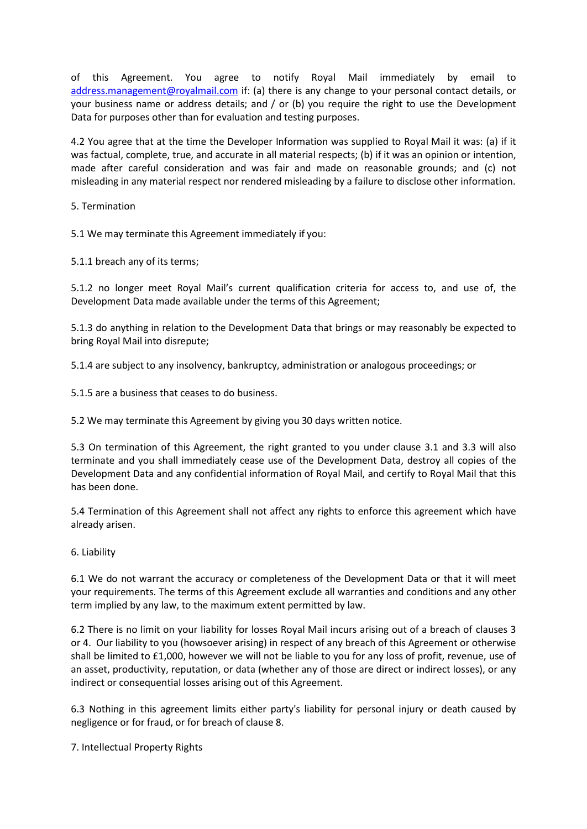of this Agreement. You agree to notify Royal Mail immediately by email to [address.management@royalmail.com](mailto:address.management@royalmail.com) if: (a) there is any change to your personal contact details, or your business name or address details; and  $/$  or (b) you require the right to use the Development Data for purposes other than for evaluation and testing purposes.

4.2 You agree that at the time the Developer Information was supplied to Royal Mail it was: (a) if it was factual, complete, true, and accurate in all material respects; (b) if it was an opinion or intention, made after careful consideration and was fair and made on reasonable grounds; and (c) not misleading in any material respect nor rendered misleading by a failure to disclose other information.

5. Termination

5.1 We may terminate this Agreement immediately if you:

5.1.1 breach any of its terms;

5.1.2 no longer meet Royal Mail's current qualification criteria for access to, and use of, the Development Data made available under the terms of this Agreement;

5.1.3 do anything in relation to the Development Data that brings or may reasonably be expected to bring Royal Mail into disrepute;

5.1.4 are subject to any insolvency, bankruptcy, administration or analogous proceedings; or

5.1.5 are a business that ceases to do business.

5.2 We may terminate this Agreement by giving you 30 days written notice.

5.3 On termination of this Agreement, the right granted to you under clause 3.1 and 3.3 will also terminate and you shall immediately cease use of the Development Data, destroy all copies of the Development Data and any confidential information of Royal Mail, and certify to Royal Mail that this has been done.

5.4 Termination of this Agreement shall not affect any rights to enforce this agreement which have already arisen.

6. Liability

6.1 We do not warrant the accuracy or completeness of the Development Data or that it will meet your requirements. The terms of this Agreement exclude all warranties and conditions and any other term implied by any law, to the maximum extent permitted by law.

6.2 There is no limit on your liability for losses Royal Mail incurs arising out of a breach of clauses 3 or 4. Our liability to you (howsoever arising) in respect of any breach of this Agreement or otherwise shall be limited to £1,000, however we will not be liable to you for any loss of profit, revenue, use of an asset, productivity, reputation, or data (whether any of those are direct or indirect losses), or any indirect or consequential losses arising out of this Agreement.

6.3 Nothing in this agreement limits either party's liability for personal injury or death caused by negligence or for fraud, or for breach of clause 8.

7. Intellectual Property Rights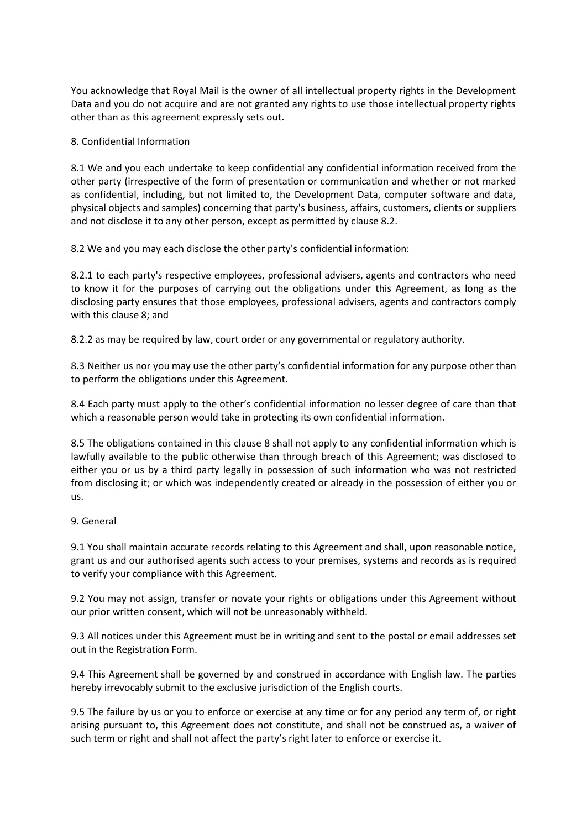You acknowledge that Royal Mail is the owner of all intellectual property rights in the Development Data and you do not acquire and are not granted any rights to use those intellectual property rights other than as this agreement expressly sets out.

## 8. Confidential Information

8.1 We and you each undertake to keep confidential any confidential information received from the other party (irrespective of the form of presentation or communication and whether or not marked as confidential, including, but not limited to, the Development Data, computer software and data, physical objects and samples) concerning that party's business, affairs, customers, clients or suppliers and not disclose it to any other person, except as permitted by clause 8.2.

8.2 We and you may each disclose the other party's confidential information:

8.2.1 to each party's respective employees, professional advisers, agents and contractors who need to know it for the purposes of carrying out the obligations under this Agreement, as long as the disclosing party ensures that those employees, professional advisers, agents and contractors comply with this clause 8; and

8.2.2 as may be required by law, court order or any governmental or regulatory authority.

8.3 Neither us nor you may use the other party's confidential information for any purpose other than to perform the obligations under this Agreement.

8.4 Each party must apply to the other's confidential information no lesser degree of care than that which a reasonable person would take in protecting its own confidential information.

8.5 The obligations contained in this clause 8 shall not apply to any confidential information which is lawfully available to the public otherwise than through breach of this Agreement; was disclosed to either you or us by a third party legally in possession of such information who was not restricted from disclosing it; or which was independently created or already in the possession of either you or us.

## 9. General

9.1 You shall maintain accurate records relating to this Agreement and shall, upon reasonable notice, grant us and our authorised agents such access to your premises, systems and records as is required to verify your compliance with this Agreement.

9.2 You may not assign, transfer or novate your rights or obligations under this Agreement without our prior written consent, which will not be unreasonably withheld.

9.3 All notices under this Agreement must be in writing and sent to the postal or email addresses set out in the Registration Form.

9.4 This Agreement shall be governed by and construed in accordance with English law. The parties hereby irrevocably submit to the exclusive jurisdiction of the English courts.

9.5 The failure by us or you to enforce or exercise at any time or for any period any term of, or right arising pursuant to, this Agreement does not constitute, and shall not be construed as, a waiver of such term or right and shall not affect the party's right later to enforce or exercise it.